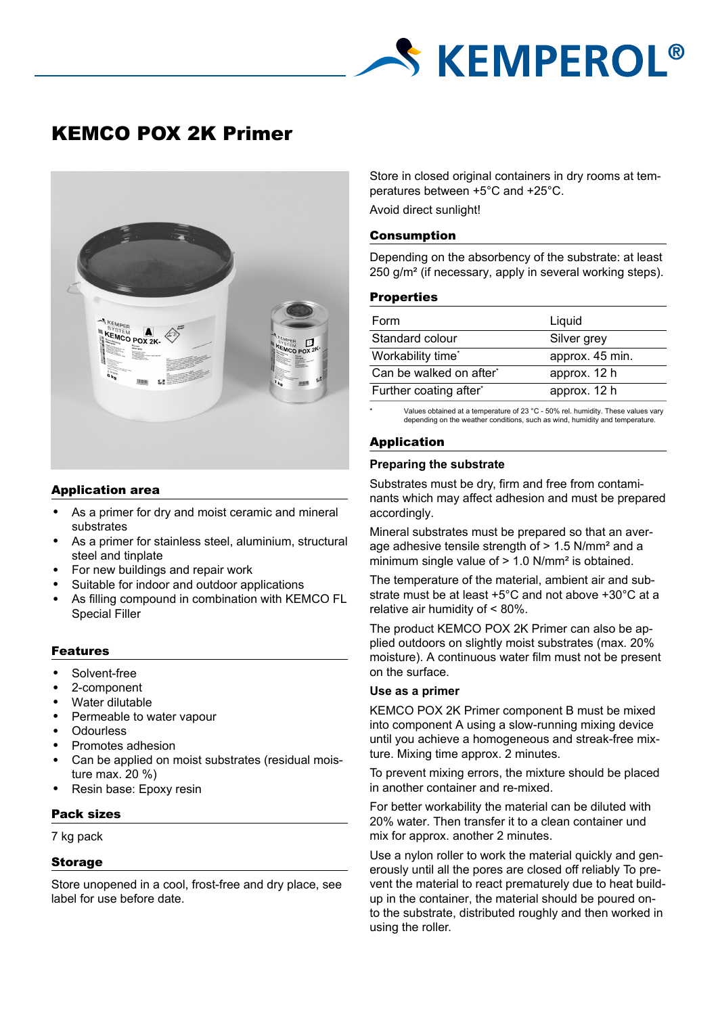# **S KEMPEROL®**

# KEMCO POX 2K Primer



# Application area

- As a primer for dry and moist ceramic and mineral substrates
- As a primer for stainless steel, aluminium, structural steel and tinplate
- For new buildings and repair work
- Suitable for indoor and outdoor applications
- As filling compound in combination with KEMCO FL Special Filler

# Features

- Solvent-free
- 2-component
- Water dilutable
- Permeable to water vapour
- **Odourless**
- Promotes adhesion
- Can be applied on moist substrates (residual moisture max. 20 %)
- Resin base: Epoxy resin

# Pack sizes

7 kg pack

# Storage

Store unopened in a cool, frost-free and dry place, see label for use before date.

Store in closed original containers in dry rooms at temperatures between +5°C and +25°C. Avoid direct sunlight!

# Consumption

Depending on the absorbency of the substrate: at least 250 g/m² (if necessary, apply in several working steps).

#### **Properties**

| Form                    | Liguid          |
|-------------------------|-----------------|
| Standard colour         | Silver grey     |
| Workability time*       | approx. 45 min. |
| Can be walked on after* | approx. 12 h    |
| Further coating after*  | approx. 12 h    |

Values obtained at a temperature of 23 °C - 50% rel. humidity. These values vary depending on the weather conditions, such as wind, humidity and temperature.

# Application

# **Preparing the substrate**

Substrates must be dry, firm and free from contaminants which may affect adhesion and must be prepared accordingly.

Mineral substrates must be prepared so that an average adhesive tensile strength of > 1.5 N/mm² and a minimum single value of > 1.0 N/mm² is obtained.

The temperature of the material, ambient air and substrate must be at least +5°C and not above +30°C at a relative air humidity of < 80%.

The product KEMCO POX 2K Primer can also be applied outdoors on slightly moist substrates (max. 20% moisture). A continuous water film must not be present on the surface.

#### **Use as a primer**

KEMCO POX 2K Primer component B must be mixed into component A using a slow-running mixing device until you achieve a homogeneous and streak-free mixture. Mixing time approx. 2 minutes.

To prevent mixing errors, the mixture should be placed in another container and re-mixed.

For better workability the material can be diluted with 20% water. Then transfer it to a clean container und mix for approx. another 2 minutes.

Use a nylon roller to work the material quickly and generously until all the pores are closed off reliably To prevent the material to react prematurely due to heat buildup in the container, the material should be poured onto the substrate, distributed roughly and then worked in using the roller.